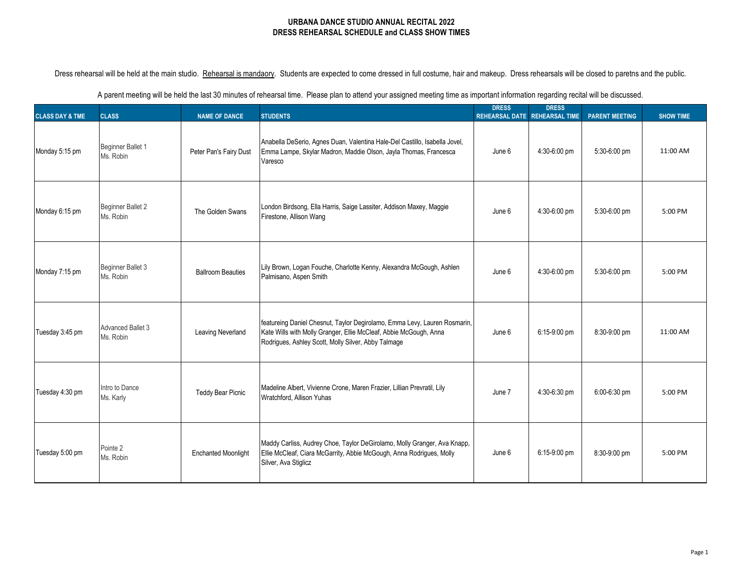Dress rehearsal will be held at the main studio. Rehearsal is mandaory. Students are expected to come dressed in full costume, hair and makeup. Dress rehearsals will be closed to paretns and the public.

| <b>CLASS DAY &amp; TME</b> | <b>CLASS</b>                          | <b>NAME OF DANCE</b>       | <b>STUDENTS</b>                                                                                                                                                                                       | <b>DRESS</b><br><b>REHEARSAL DATE</b> | <b>DRESS</b><br><b>REHEARSAL TIME</b> | <b>PARENT MEETING</b> | <b>SHOW TIME</b> |
|----------------------------|---------------------------------------|----------------------------|-------------------------------------------------------------------------------------------------------------------------------------------------------------------------------------------------------|---------------------------------------|---------------------------------------|-----------------------|------------------|
| Monday 5:15 pm             | Beginner Ballet 1<br>Ms. Robin        | Peter Pan's Fairy Dust     | Anabella DeSerio, Agnes Duan, Valentina Hale-Del Castillo, Isabella Jovel,<br>Emma Lampe, Skylar Madron, Maddie Olson, Jayla Thomas, Francesca<br>Varesco                                             | June 6                                | 4:30-6:00 pm                          | 5:30-6:00 pm          | 11:00 AM         |
| Monday 6:15 pm             | <b>Beginner Ballet 2</b><br>Ms. Robin | The Golden Swans           | London Birdsong, Ella Harris, Saige Lassiter, Addison Maxey, Maggie<br>Firestone, Allison Wang                                                                                                        | June 6                                | 4:30-6:00 pm                          | 5:30-6:00 pm          | 5:00 PM          |
| Monday 7:15 pm             | Beginner Ballet 3<br>Ms. Robin        | <b>Ballroom Beauties</b>   | Lily Brown, Logan Fouche, Charlotte Kenny, Alexandra McGough, Ashlen<br>Palmisano, Aspen Smith                                                                                                        | June 6                                | 4:30-6:00 pm                          | 5:30-6:00 pm          | 5:00 PM          |
| Tuesday 3:45 pm            | <b>Advanced Ballet 3</b><br>Ms. Robin | Leaving Neverland          | featureing Daniel Chesnut, Taylor Degirolamo, Emma Levy, Lauren Rosmarin,<br>Kate Wills with Molly Granger, Ellie McCleaf, Abbie McGough, Anna<br>Rodrigues, Ashley Scott, Molly Silver, Abby Talmage | June 6                                | 6:15-9:00 pm                          | 8:30-9:00 pm          | 11:00 AM         |
| Tuesday 4:30 pm            | Intro to Dance<br>Ms. Karly           | <b>Teddy Bear Picnic</b>   | Madeline Albert, Vivienne Crone, Maren Frazier, Lillian Prevratil, Lily<br>Wratchford, Allison Yuhas                                                                                                  | June 7                                | 4:30-6:30 pm                          | 6:00-6:30 pm          | 5:00 PM          |
| Tuesday 5:00 pm            | Pointe 2<br>Ms. Robin                 | <b>Enchanted Moonlight</b> | Maddy Carliss, Audrey Choe, Taylor DeGirolamo, Molly Granger, Ava Knapp,<br>Ellie McCleaf, Ciara McGarrity, Abbie McGough, Anna Rodrigues, Molly<br>Silver, Ava Stiglicz                              | June 6                                | 6:15-9:00 pm                          | 8:30-9:00 pm          | 5:00 PM          |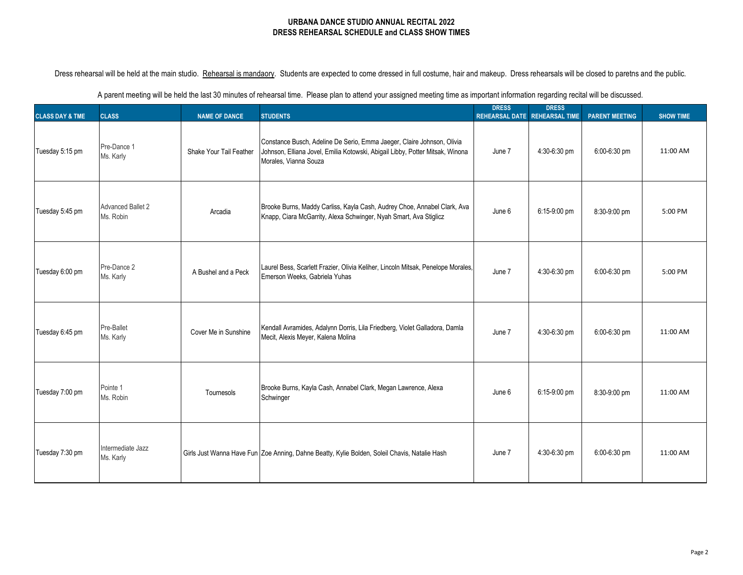Dress rehearsal will be held at the main studio. Rehearsal is mandaory. Students are expected to come dressed in full costume, hair and makeup. Dress rehearsals will be closed to paretns and the public.

| <b>CLASS DAY &amp; TME</b> | <b>CLASS</b>                          | <b>NAME OF DANCE</b>    | <b>STUDENTS</b>                                                                                                                                                                  | <b>DRESS</b><br><b>REHEARSAL DATE</b> | <b>DRESS</b><br><b>REHEARSAL TIME</b> | <b>PARENT MEETING</b> | <b>SHOW TIME</b> |
|----------------------------|---------------------------------------|-------------------------|----------------------------------------------------------------------------------------------------------------------------------------------------------------------------------|---------------------------------------|---------------------------------------|-----------------------|------------------|
| Tuesday 5:15 pm            | Pre-Dance 1<br>Ms. Karly              | Shake Your Tail Feather | Constance Busch, Adeline De Serio, Emma Jaeger, Claire Johnson, Olivia<br>Johnson, Elliana Jovel, Emilia Kotowski, Abigail Libby, Potter Mitsak, Winona<br>Morales, Vianna Souza | June 7                                | 4:30-6:30 pm                          | 6:00-6:30 pm          | 11:00 AM         |
| Tuesday 5:45 pm            | <b>Advanced Ballet 2</b><br>Ms. Robin | Arcadia                 | Brooke Burns, Maddy Carliss, Kayla Cash, Audrey Choe, Annabel Clark, Ava<br>Knapp, Ciara McGarrity, Alexa Schwinger, Nyah Smart, Ava Stiglicz                                    | June 6                                | 6:15-9:00 pm                          | 8:30-9:00 pm          | 5:00 PM          |
| Tuesday 6:00 pm            | Pre-Dance 2<br>Ms. Karly              | A Bushel and a Peck     | Laurel Bess, Scarlett Frazier, Olivia Keliher, Lincoln Mitsak, Penelope Morales,<br>Emerson Weeks, Gabriela Yuhas                                                                | June 7                                | 4:30-6:30 pm                          | 6:00-6:30 pm          | 5:00 PM          |
| Tuesday 6:45 pm            | Pre-Ballet<br>Ms. Karly               | Cover Me in Sunshine    | Kendall Avramides, Adalynn Dorris, Lila Friedberg, Violet Galladora, Damla<br>Mecit, Alexis Meyer, Kalena Molina                                                                 | June 7                                | 4:30-6:30 pm                          | 6:00-6:30 pm          | 11:00 AM         |
| Tuesday 7:00 pm            | Pointe 1<br>Ms. Robin                 | Tournesols              | Brooke Burns, Kayla Cash, Annabel Clark, Megan Lawrence, Alexa<br>Schwinger                                                                                                      | June 6                                | 6:15-9:00 pm                          | 8:30-9:00 pm          | 11:00 AM         |
| Tuesday 7:30 pm            | Intermediate Jazz<br>Ms. Karly        |                         | Girls Just Wanna Have Fun Zoe Anning, Dahne Beatty, Kylie Bolden, Soleil Chavis, Natalie Hash                                                                                    | June 7                                | 4:30-6:30 pm                          | 6:00-6:30 pm          | 11:00 AM         |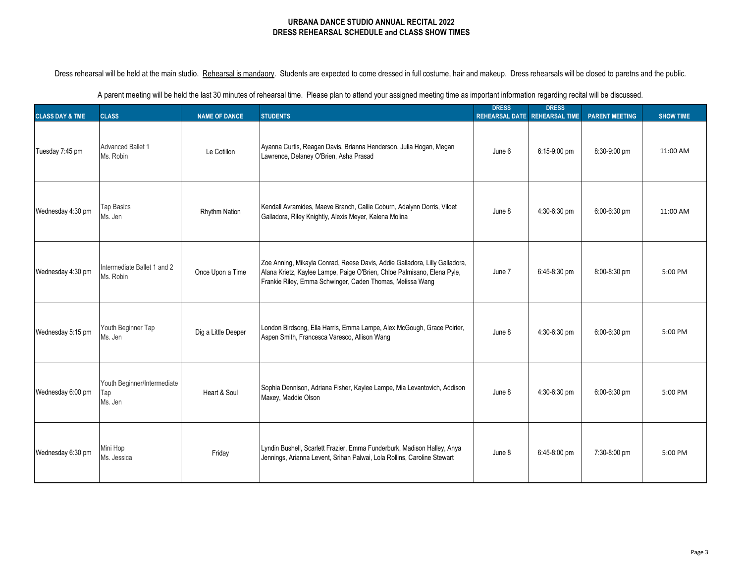| A parent meeting will be held the last 30 minutes of rehearsal time. Please plan to attend your assigned meeting time as important information regarding recital will be discussed. |  |  |
|-------------------------------------------------------------------------------------------------------------------------------------------------------------------------------------|--|--|
|                                                                                                                                                                                     |  |  |

| <b>CLASS DAY &amp; TME</b> | <b>CLASS</b>                                  | <b>NAME OF DANCE</b> | <b>STUDENTS</b>                                                                                                                                                                                                    | <b>DRESS</b><br><b>REHEARSAL DATE</b> | <b>DRESS</b><br><b>REHEARSAL TIME</b> | <b>PARENT MEETING</b> | <b>SHOW TIME</b> |
|----------------------------|-----------------------------------------------|----------------------|--------------------------------------------------------------------------------------------------------------------------------------------------------------------------------------------------------------------|---------------------------------------|---------------------------------------|-----------------------|------------------|
| Tuesday 7:45 pm            | <b>Advanced Ballet 1</b><br>Ms. Robin         | Le Cotillon          | Ayanna Curtis, Reagan Davis, Brianna Henderson, Julia Hogan, Megan<br>Lawrence, Delaney O'Brien, Asha Prasad                                                                                                       | June 6                                | 6:15-9:00 pm                          | 8:30-9:00 pm          | 11:00 AM         |
| Wednesday 4:30 pm          | <b>Tap Basics</b><br>Ms. Jen                  | <b>Rhythm Nation</b> | Kendall Avramides, Maeve Branch, Callie Coburn, Adalynn Dorris, Viloet<br>Galladora, Riley Knightly, Alexis Meyer, Kalena Molina                                                                                   | June 8                                | 4:30-6:30 pm                          | 6:00-6:30 pm          | 11:00 AM         |
| Wednesday 4:30 pm          | Intermediate Ballet 1 and 2<br>Ms. Robin      | Once Upon a Time     | Zoe Anning, Mikayla Conrad, Reese Davis, Addie Galladora, Lilly Galladora,<br>Alana Krietz, Kaylee Lampe, Paige O'Brien, Chloe Palmisano, Elena Pyle,<br>Frankie Riley, Emma Schwinger, Caden Thomas, Melissa Wang | June 7                                | 6:45-8:30 pm                          | 8:00-8:30 pm          | 5:00 PM          |
| Wednesday 5:15 pm          | Youth Beginner Tap<br>Ms. Jen                 | Dig a Little Deeper  | London Birdsong, Ella Harris, Emma Lampe, Alex McGough, Grace Poirier,<br>Aspen Smith, Francesca Varesco, Allison Wang                                                                                             | June 8                                | 4:30-6:30 pm                          | 6:00-6:30 pm          | 5:00 PM          |
| Wednesday 6:00 pm          | Youth Beginner/Intermediate<br>Tap<br>Ms. Jen | Heart & Soul         | Sophia Dennison, Adriana Fisher, Kaylee Lampe, Mia Levantovich, Addison<br>Maxey, Maddie Olson                                                                                                                     | June 8                                | 4:30-6:30 pm                          | 6:00-6:30 pm          | 5:00 PM          |
| Wednesday 6:30 pm          | Mini Hop<br>Ms. Jessica                       | Friday               | Lyndin Bushell, Scarlett Frazier, Emma Funderburk, Madison Halley, Anya<br>Jennings, Arianna Levent, Srihan Palwai, Lola Rollins, Caroline Stewart                                                                 | June 8                                | 6:45-8:00 pm                          | 7:30-8:00 pm          | 5:00 PM          |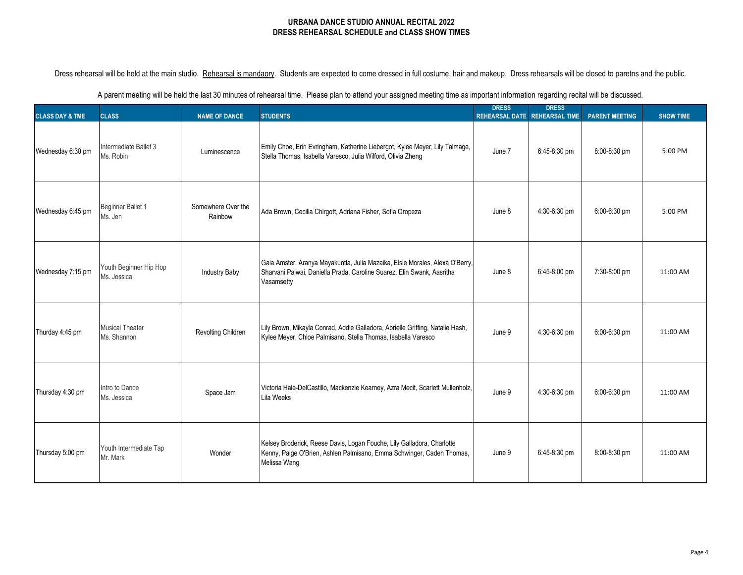| A parent meeting will be held the last 30 minutes of rehearsal time. Please plan to attend your assigned meeting time as important information regarding recital will be discussed. |  |  |
|-------------------------------------------------------------------------------------------------------------------------------------------------------------------------------------|--|--|
|                                                                                                                                                                                     |  |  |

| <b>CLASS DAY &amp; TME</b> | <b>CLASS</b>                          | <b>NAME OF DANCE</b>          | <b>STUDENTS</b>                                                                                                                                                      | <b>DRESS</b><br><b>REHEARSAL DATE</b> | <b>DRESS</b><br><b>REHEARSAL TIME</b> | <b>PARENT MEETING</b> | <b>SHOW TIME</b> |
|----------------------------|---------------------------------------|-------------------------------|----------------------------------------------------------------------------------------------------------------------------------------------------------------------|---------------------------------------|---------------------------------------|-----------------------|------------------|
| Wednesday 6:30 pm          | Intermediate Ballet 3<br>Ms. Robin    | Luminescence                  | Emily Choe, Erin Evringham, Katherine Liebergot, Kylee Meyer, Lily Talmage,<br>Stella Thomas, Isabella Varesco, Julia Wilford, Olivia Zheng                          | June 7                                | 6:45-8:30 pm                          | 8:00-8:30 pm          | 5:00 PM          |
| Wednesday 6:45 pm          | Beginner Ballet 1<br>Ms. Jen          | Somewhere Over the<br>Rainbow | Ada Brown, Cecilia Chirgott, Adriana Fisher, Sofia Oropeza                                                                                                           | June 8                                | 4:30-6:30 pm                          | 6:00-6:30 pm          | 5:00 PM          |
| Wednesday 7:15 pm          | Youth Beginner Hip Hop<br>Ms. Jessica | <b>Industry Baby</b>          | Gaia Amster, Aranya Mayakuntla, Julia Mazaika, Elsie Morales, Alexa O'Berry,<br>Sharvani Palwai, Daniella Prada, Caroline Suarez, Elin Swank, Aasritha<br>Vasamsetty | June 8                                | 6:45-8:00 pm                          | 7:30-8:00 pm          | 11:00 AM         |
| Thurday 4:45 pm            | <b>Musical Theater</b><br>Ms. Shannon | Revolting Children            | Lily Brown, Mikayla Conrad, Addie Galladora, Abrielle Griffing, Natalie Hash,<br>Kylee Meyer, Chloe Palmisano, Stella Thomas, Isabella Varesco                       | June 9                                | 4:30-6:30 pm                          | 6:00-6:30 pm          | 11:00 AM         |
| Thursday 4:30 pm           | Intro to Dance<br>Ms. Jessica         | Space Jam                     | Victoria Hale-DelCastillo, Mackenzie Kearney, Azra Mecit, Scarlett Mullenholz,<br>Lila Weeks                                                                         | June 9                                | 4:30-6:30 pm                          | 6:00-6:30 pm          | 11:00 AM         |
| Thursday 5:00 pm           | Youth Intermediate Tap<br>Mr. Mark    | Wonder                        | Kelsey Broderick, Reese Davis, Logan Fouche, Lily Galladora, Charlotte<br>Kenny, Paige O'Brien, Ashlen Palmisano, Emma Schwinger, Caden Thomas,<br>Melissa Wang      | June 9                                | 6:45-8:30 pm                          | 8:00-8:30 pm          | 11:00 AM         |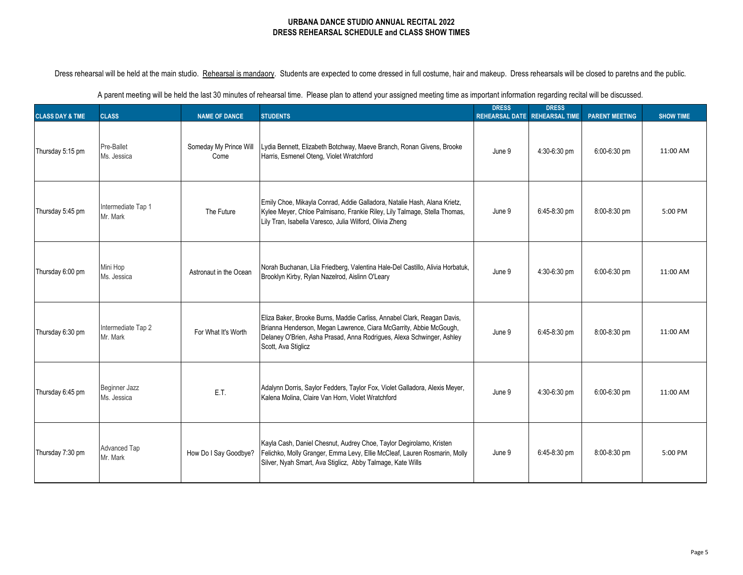|  | A parent meeting will be held the last 30 minutes of rehearsal time. Please plan to attend your assigned meeting time as important information regarding recital will be discussed. |  |  |
|--|-------------------------------------------------------------------------------------------------------------------------------------------------------------------------------------|--|--|
|--|-------------------------------------------------------------------------------------------------------------------------------------------------------------------------------------|--|--|

| <b>CLASS DAY &amp; TME</b> | <b>CLASS</b>                    | <b>NAME OF DANCE</b>           | <b>STUDENTS</b>                                                                                                                                                                                                                               | <b>DRESS</b><br>REHEARSAL DATE REHEARSAL TIME | <b>DRESS</b> | <b>PARENT MEETING</b> | <b>SHOW TIME</b> |
|----------------------------|---------------------------------|--------------------------------|-----------------------------------------------------------------------------------------------------------------------------------------------------------------------------------------------------------------------------------------------|-----------------------------------------------|--------------|-----------------------|------------------|
| Thursday 5:15 pm           | Pre-Ballet<br>Ms. Jessica       | Someday My Prince Will<br>Come | Lydia Bennett, Elizabeth Botchway, Maeve Branch, Ronan Givens, Brooke<br>Harris, Esmenel Oteng, Violet Wratchford                                                                                                                             | June 9                                        | 4:30-6:30 pm | 6:00-6:30 pm          | 11:00 AM         |
| Thursday 5:45 pm           | Intermediate Tap 1<br>Mr. Mark  | The Future                     | Emily Choe, Mikayla Conrad, Addie Galladora, Natalie Hash, Alana Krietz,<br>Kylee Meyer, Chloe Palmisano, Frankie Riley, Lily Talmage, Stella Thomas,<br>Lily Tran, Isabella Varesco, Julia Wilford, Olivia Zheng                             | June 9                                        | 6:45-8:30 pm | 8:00-8:30 pm          | 5:00 PM          |
| Thursday 6:00 pm           | Mini Hop<br>Ms. Jessica         | Astronaut in the Ocean         | Norah Buchanan, Lila Friedberg, Valentina Hale-Del Castillo, Alivia Horbatuk,<br>Brooklyn Kirby, Rylan Nazelrod, Aislinn O'Leary                                                                                                              | June 9                                        | 4:30-6:30 pm | 6:00-6:30 pm          | 11:00 AM         |
| Thursday 6:30 pm           | Intermediate Tap 2<br>Mr. Mark  | For What It's Worth            | Eliza Baker, Brooke Burns, Maddie Carliss, Annabel Clark, Reagan Davis,<br>Brianna Henderson, Megan Lawrence, Ciara McGarrity, Abbie McGough,<br>Delaney O'Brien, Asha Prasad, Anna Rodrigues, Alexa Schwinger, Ashley<br>Scott, Ava Stiglicz | June 9                                        | 6:45-8:30 pm | 8:00-8:30 pm          | 11:00 AM         |
| Thursday 6:45 pm           | Beginner Jazz<br>Ms. Jessica    | E.T.                           | Adalynn Dorris, Saylor Fedders, Taylor Fox, Violet Galladora, Alexis Meyer,<br>Kalena Molina, Claire Van Horn, Violet Wratchford                                                                                                              | June 9                                        | 4:30-6:30 pm | 6:00-6:30 pm          | 11:00 AM         |
| Thursday 7:30 pm           | <b>Advanced Tap</b><br>Mr. Mark | How Do I Say Goodbye?          | Kayla Cash, Daniel Chesnut, Audrey Choe, Taylor Degirolamo, Kristen<br>Felichko, Molly Granger, Emma Levy, Ellie McCleaf, Lauren Rosmarin, Molly<br>Silver, Nyah Smart, Ava Stiglicz, Abby Talmage, Kate Wills                                | June 9                                        | 6:45-8:30 pm | 8:00-8:30 pm          | 5:00 PM          |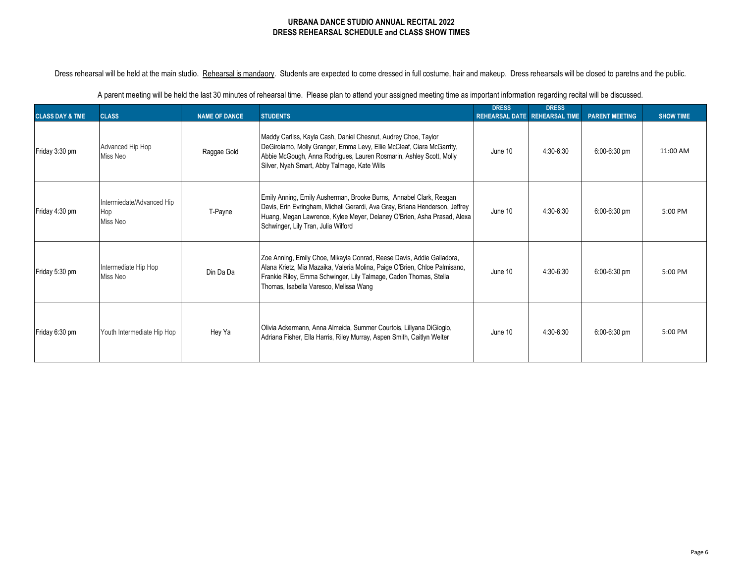Dress rehearsal will be held at the main studio. Rehearsal is mandaory. Students are expected to come dressed in full costume, hair and makeup. Dress rehearsals will be closed to paretns and the public.

| <b>CLASS DAY &amp; TME</b> | <b>CLASS</b>                                 | <b>NAME OF DANCE</b> | <b>STUDENTS</b>                                                                                                                                                                                                                                                     | <b>DRESS</b><br>REHEARSAL DATE REHEARSAL TIME | <b>DRESS</b> | <b>PARENT MEETING</b> | <b>SHOW TIME</b> |
|----------------------------|----------------------------------------------|----------------------|---------------------------------------------------------------------------------------------------------------------------------------------------------------------------------------------------------------------------------------------------------------------|-----------------------------------------------|--------------|-----------------------|------------------|
| Friday 3:30 pm             | Advanced Hip Hop<br>Miss Neo                 | Raggae Gold          | Maddy Carliss, Kayla Cash, Daniel Chesnut, Audrey Choe, Taylor<br>DeGirolamo, Molly Granger, Emma Levy, Ellie McCleaf, Ciara McGarrity,<br>Abbie McGough, Anna Rodrigues, Lauren Rosmarin, Ashley Scott, Molly<br>Silver, Nyah Smart, Abby Talmage, Kate Wills      | June 10                                       | 4:30-6:30    | 6:00-6:30 pm          | 11:00 AM         |
| Friday 4:30 pm             | Intermiedate/Advanced Hip<br>Hop<br>Miss Neo | T-Payne              | Emily Anning, Emily Ausherman, Brooke Burns, Annabel Clark, Reagan<br>Davis, Erin Evringham, Micheli Gerardi, Ava Gray, Briana Henderson, Jeffrey<br>Huang, Megan Lawrence, Kylee Meyer, Delaney O'Brien, Asha Prasad, Alexa<br>Schwinger, Lily Tran, Julia Wilford | June 10                                       | 4:30-6:30    | $6:00-6:30$ pm        | 5:00 PM          |
| Friday 5:30 pm             | Intermediate Hip Hop<br>Miss Neo             | Din Da Da            | Zoe Anning, Emily Choe, Mikayla Conrad, Reese Davis, Addie Galladora,<br>Alana Krietz, Mia Mazaika, Valeria Molina, Paige O'Brien, Chloe Palmisano,<br>Frankie Riley, Emma Schwinger, Lily Talmage, Caden Thomas, Stella<br>Thomas, Isabella Varesco, Melissa Wang  | June 10                                       | 4:30-6:30    | 6:00-6:30 pm          | 5:00 PM          |
| Friday 6:30 pm             | Youth Intermediate Hip Hop                   | Hey Ya               | Olivia Ackermann, Anna Almeida, Summer Courtois, Lillyana DiGiogio,<br>Adriana Fisher, Ella Harris, Riley Murray, Aspen Smith, Caitlyn Welter                                                                                                                       | June 10                                       | 4:30-6:30    | 6:00-6:30 pm          | 5:00 PM          |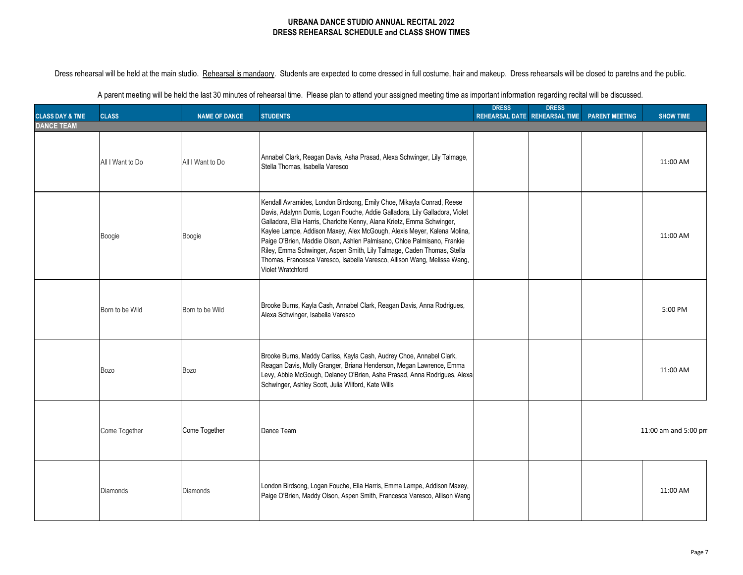Dress rehearsal will be held at the main studio. Rehearsal is mandaory. Students are expected to come dressed in full costume, hair and makeup. Dress rehearsals will be closed to paretns and the public.

|                                                 |                  |                      |                                                                                                                                                                                                                                                                                                                                                                                                                                                                                                                                                                  | <b>DRESS</b> | <b>DRESS</b>                  |                       |                      |
|-------------------------------------------------|------------------|----------------------|------------------------------------------------------------------------------------------------------------------------------------------------------------------------------------------------------------------------------------------------------------------------------------------------------------------------------------------------------------------------------------------------------------------------------------------------------------------------------------------------------------------------------------------------------------------|--------------|-------------------------------|-----------------------|----------------------|
| <b>CLASS DAY &amp; TME</b><br><b>DANCE TEAM</b> | <b>CLASS</b>     | <b>NAME OF DANCE</b> | <b>STUDENTS</b>                                                                                                                                                                                                                                                                                                                                                                                                                                                                                                                                                  |              | REHEARSAL DATE REHEARSAL TIME | <b>PARENT MEETING</b> | <b>SHOW TIME</b>     |
|                                                 | All I Want to Do | All I Want to Do     | Annabel Clark, Reagan Davis, Asha Prasad, Alexa Schwinger, Lily Talmage,<br>Stella Thomas, Isabella Varesco                                                                                                                                                                                                                                                                                                                                                                                                                                                      |              |                               |                       | 11:00 AM             |
|                                                 | Boogie           | Boogie               | Kendall Avramides, London Birdsong, Emily Choe, Mikayla Conrad, Reese<br>Davis, Adalynn Dorris, Logan Fouche, Addie Galladora, Lily Galladora, Violet<br>Galladora, Ella Harris, Charlotte Kenny, Alana Krietz, Emma Schwinger,<br>Kaylee Lampe, Addison Maxey, Alex McGough, Alexis Meyer, Kalena Molina,<br>Paige O'Brien, Maddie Olson, Ashlen Palmisano, Chloe Palmisano, Frankie<br>Riley, Emma Schwinger, Aspen Smith, Lily Talmage, Caden Thomas, Stella<br>Thomas, Francesca Varesco, Isabella Varesco, Allison Wang, Melissa Wang,<br>Violet Wratchford |              |                               |                       | 11:00 AM             |
|                                                 | Born to be Wild  | Born to be Wild      | Brooke Burns, Kayla Cash, Annabel Clark, Reagan Davis, Anna Rodrigues,<br>Alexa Schwinger, Isabella Varesco                                                                                                                                                                                                                                                                                                                                                                                                                                                      |              |                               |                       | 5:00 PM              |
|                                                 | <b>Bozo</b>      | <b>Bozo</b>          | Brooke Burns, Maddy Carliss, Kayla Cash, Audrey Choe, Annabel Clark,<br>Reagan Davis, Molly Granger, Briana Henderson, Megan Lawrence, Emma<br>Levy, Abbie McGough, Delaney O'Brien, Asha Prasad, Anna Rodrigues, Alexa<br>Schwinger, Ashley Scott, Julia Wilford, Kate Wills                                                                                                                                                                                                                                                                                    |              |                               |                       | 11:00 AM             |
|                                                 | Come Together    | Come Together        | Dance Team                                                                                                                                                                                                                                                                                                                                                                                                                                                                                                                                                       |              |                               |                       | 11:00 am and 5:00 pm |
|                                                 | <b>Diamonds</b>  | <b>Diamonds</b>      | London Birdsong, Logan Fouche, Ella Harris, Emma Lampe, Addison Maxey,<br>Paige O'Brien, Maddy Olson, Aspen Smith, Francesca Varesco, Allison Wang                                                                                                                                                                                                                                                                                                                                                                                                               |              |                               |                       | 11:00 AM             |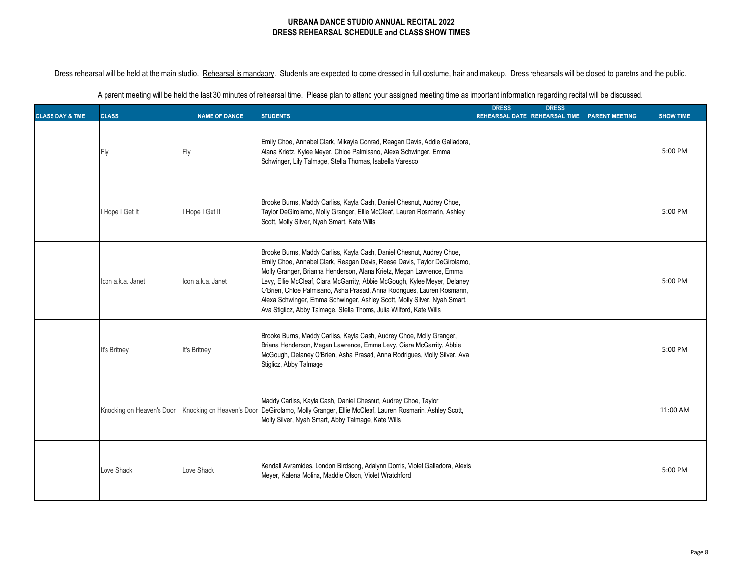| A parent meeting will be held the last 30 minutes of rehearsal time. Please plan to attend your assigned meeting time as important information regarding recital will be discussed. |  |  |  |  |
|-------------------------------------------------------------------------------------------------------------------------------------------------------------------------------------|--|--|--|--|
|-------------------------------------------------------------------------------------------------------------------------------------------------------------------------------------|--|--|--|--|

| <b>CLASS DAY &amp; TME</b> | <b>CLASS</b>              | <b>NAME OF DANCE</b> | <b>STUDENTS</b>                                                                                                                                                                                                                                                                                                                                                                                                                                                                                                                      | <b>DRESS</b> | <b>DRESS</b><br>REHEARSAL DATE REHEARSAL TIME | <b>PARENT MEETING</b> | <b>SHOW TIME</b> |
|----------------------------|---------------------------|----------------------|--------------------------------------------------------------------------------------------------------------------------------------------------------------------------------------------------------------------------------------------------------------------------------------------------------------------------------------------------------------------------------------------------------------------------------------------------------------------------------------------------------------------------------------|--------------|-----------------------------------------------|-----------------------|------------------|
|                            | Ξlγ                       | Fly                  | Emily Choe, Annabel Clark, Mikayla Conrad, Reagan Davis, Addie Galladora,<br>Alana Krietz, Kylee Meyer, Chloe Palmisano, Alexa Schwinger, Emma<br>Schwinger, Lily Talmage, Stella Thomas, Isabella Varesco                                                                                                                                                                                                                                                                                                                           |              |                                               |                       | 5:00 PM          |
|                            | I Hope I Get It           | I Hope I Get It      | Brooke Burns, Maddy Carliss, Kayla Cash, Daniel Chesnut, Audrey Choe,<br>Taylor DeGirolamo, Molly Granger, Ellie McCleaf, Lauren Rosmarin, Ashley<br>Scott, Molly Silver, Nyah Smart, Kate Wills                                                                                                                                                                                                                                                                                                                                     |              |                                               |                       | 5:00 PM          |
|                            | Icon a.k.a. Janet         | Icon a.k.a. Janet    | Brooke Burns, Maddy Carliss, Kayla Cash, Daniel Chesnut, Audrey Choe,<br>Emily Choe, Annabel Clark, Reagan Davis, Reese Davis, Taylor DeGirolamo,<br>Molly Granger, Brianna Henderson, Alana Krietz, Megan Lawrence, Emma<br>Levy, Ellie McCleaf, Ciara McGarrity, Abbie McGough, Kylee Meyer, Delaney<br>O'Brien, Chloe Palmisano, Asha Prasad, Anna Rodrigues, Lauren Rosmarin,<br>Alexa Schwinger, Emma Schwinger, Ashley Scott, Molly Silver, Nyah Smart,<br>Ava Stiglicz, Abby Talmage, Stella Thoms, Julia Wilford, Kate Wills |              |                                               |                       | 5:00 PM          |
|                            | It's Britney              | It's Britney         | Brooke Burns, Maddy Carliss, Kayla Cash, Audrey Choe, Molly Granger,<br>Briana Henderson, Megan Lawrence, Emma Levy, Ciara McGarrity, Abbie<br>McGough, Delaney O'Brien, Asha Prasad, Anna Rodrigues, Molly Silver, Ava<br>Stiglicz, Abby Talmage                                                                                                                                                                                                                                                                                    |              |                                               |                       | 5:00 PM          |
|                            | Knocking on Heaven's Door |                      | Maddy Carliss, Kayla Cash, Daniel Chesnut, Audrey Choe, Taylor<br>Knocking on Heaven's Door DeGirolamo, Molly Granger, Ellie McCleaf, Lauren Rosmarin, Ashley Scott,<br>Molly Silver, Nyah Smart, Abby Talmage, Kate Wills                                                                                                                                                                                                                                                                                                           |              |                                               |                       | 11:00 AM         |
|                            | Love Shack                | Love Shack           | Kendall Avramides, London Birdsong, Adalynn Dorris, Violet Galladora, Alexis<br>Meyer, Kalena Molina, Maddie Olson, Violet Wratchford                                                                                                                                                                                                                                                                                                                                                                                                |              |                                               |                       | 5:00 PM          |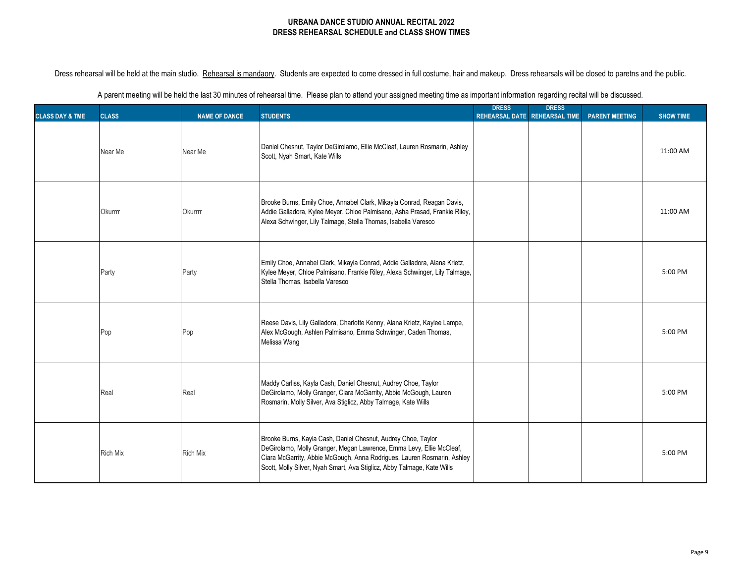Dress rehearsal will be held at the main studio. Rehearsal is mandaory. Students are expected to come dressed in full costume, hair and makeup. Dress rehearsals will be closed to paretns and the public.

| <b>CLASS DAY &amp; TME</b> | <b>CLASS</b>    | <b>NAME OF DANCE</b> | <b>STUDENTS</b>                                                                                                                                                                                                                                                                             | <b>DRESS</b><br><b>REHEARSAL DATE</b> | <b>DRESS</b><br><b>REHEARSAL TIME</b> | <b>PARENT MEETING</b> | <b>SHOW TIME</b> |
|----------------------------|-----------------|----------------------|---------------------------------------------------------------------------------------------------------------------------------------------------------------------------------------------------------------------------------------------------------------------------------------------|---------------------------------------|---------------------------------------|-----------------------|------------------|
|                            | Near Me         | Near Me              | Daniel Chesnut, Taylor DeGirolamo, Ellie McCleaf, Lauren Rosmarin, Ashley<br>Scott, Nyah Smart, Kate Wills                                                                                                                                                                                  |                                       |                                       |                       | 11:00 AM         |
|                            | <b>Okurrrr</b>  | Okurrrr              | Brooke Burns, Emily Choe, Annabel Clark, Mikayla Conrad, Reagan Davis,<br>Addie Galladora, Kylee Meyer, Chloe Palmisano, Asha Prasad, Frankie Riley,<br>Alexa Schwinger, Lily Talmage, Stella Thomas, Isabella Varesco                                                                      |                                       |                                       |                       | 11:00 AM         |
|                            | Party           | Party                | Emily Choe, Annabel Clark, Mikayla Conrad, Addie Galladora, Alana Krietz,<br>Kylee Meyer, Chloe Palmisano, Frankie Riley, Alexa Schwinger, Lily Talmage,<br>Stella Thomas, Isabella Varesco                                                                                                 |                                       |                                       |                       | 5:00 PM          |
|                            | Pop             | Pop                  | Reese Davis, Lily Galladora, Charlotte Kenny, Alana Krietz, Kaylee Lampe,<br>Alex McGough, Ashlen Palmisano, Emma Schwinger, Caden Thomas,<br>Melissa Wang                                                                                                                                  |                                       |                                       |                       | 5:00 PM          |
|                            | Real            | Real                 | Maddy Carliss, Kayla Cash, Daniel Chesnut, Audrey Choe, Taylor<br>DeGirolamo, Molly Granger, Ciara McGarrity, Abbie McGough, Lauren<br>Rosmarin, Molly Silver, Ava Stiglicz, Abby Talmage, Kate Wills                                                                                       |                                       |                                       |                       | 5:00 PM          |
|                            | <b>Rich Mix</b> | <b>Rich Mix</b>      | Brooke Burns, Kayla Cash, Daniel Chesnut, Audrey Choe, Taylor<br>DeGirolamo, Molly Granger, Megan Lawrence, Emma Levy, Ellie McCleaf,<br>Ciara McGarrity, Abbie McGough, Anna Rodrigues, Lauren Rosmarin, Ashley<br>Scott, Molly Silver, Nyah Smart, Ava Stiglicz, Abby Talmage, Kate Wills |                                       |                                       |                       | 5:00 PM          |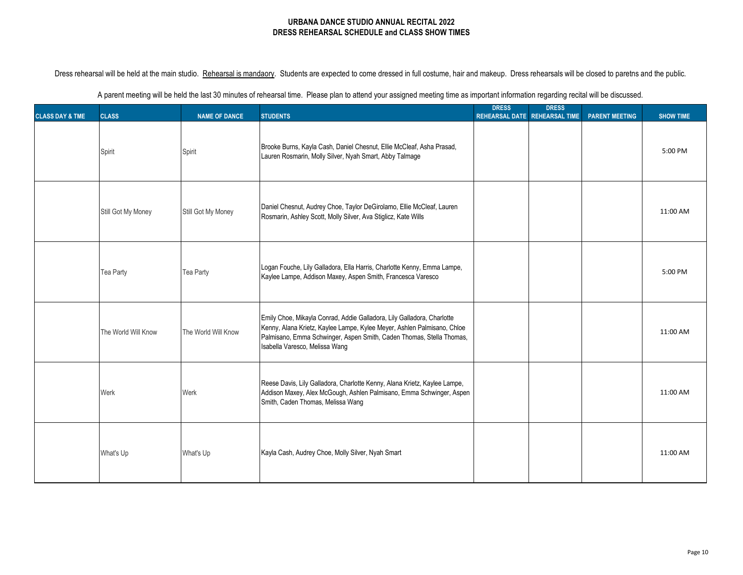|  | A parent meeting will be held the last 30 minutes of rehearsal time. Please plan to attend your assigned meeting time as important information regarding recital will be discussed. |  |  |
|--|-------------------------------------------------------------------------------------------------------------------------------------------------------------------------------------|--|--|
|--|-------------------------------------------------------------------------------------------------------------------------------------------------------------------------------------|--|--|

| <b>CLASS DAY &amp; TME</b> | <b>CLASS</b>        | <b>NAME OF DANCE</b> | <b>STUDENTS</b>                                                                                                                                                                                                                                             | <b>DRESS</b> | <b>DRESS</b><br>REHEARSAL DATE REHEARSAL TIME | <b>PARENT MEETING</b> | <b>SHOW TIME</b> |
|----------------------------|---------------------|----------------------|-------------------------------------------------------------------------------------------------------------------------------------------------------------------------------------------------------------------------------------------------------------|--------------|-----------------------------------------------|-----------------------|------------------|
|                            | Spirit              | Spirit               | Brooke Burns, Kayla Cash, Daniel Chesnut, Ellie McCleaf, Asha Prasad,<br>Lauren Rosmarin, Molly Silver, Nyah Smart, Abby Talmage                                                                                                                            |              |                                               |                       | 5:00 PM          |
|                            | Still Got My Money  | Still Got My Money   | Daniel Chesnut, Audrey Choe, Taylor DeGirolamo, Ellie McCleaf, Lauren<br>Rosmarin, Ashley Scott, Molly Silver, Ava Stiglicz, Kate Wills                                                                                                                     |              |                                               |                       | 11:00 AM         |
|                            | Tea Party           | Tea Party            | Logan Fouche, Lily Galladora, Ella Harris, Charlotte Kenny, Emma Lampe,<br>Kaylee Lampe, Addison Maxey, Aspen Smith, Francesca Varesco                                                                                                                      |              |                                               |                       | 5:00 PM          |
|                            | The World Will Know | The World Will Know  | Emily Choe, Mikayla Conrad, Addie Galladora, Lily Galladora, Charlotte<br>Kenny, Alana Krietz, Kaylee Lampe, Kylee Meyer, Ashlen Palmisano, Chloe<br>Palmisano, Emma Schwinger, Aspen Smith, Caden Thomas, Stella Thomas,<br>Isabella Varesco, Melissa Wang |              |                                               |                       | 11:00 AM         |
|                            | Werk                | Werk                 | Reese Davis, Lily Galladora, Charlotte Kenny, Alana Krietz, Kaylee Lampe,<br>Addison Maxey, Alex McGough, Ashlen Palmisano, Emma Schwinger, Aspen<br>Smith, Caden Thomas, Melissa Wang                                                                      |              |                                               |                       | 11:00 AM         |
|                            | What's Up           | What's Up            | Kayla Cash, Audrey Choe, Molly Silver, Nyah Smart                                                                                                                                                                                                           |              |                                               |                       | 11:00 AM         |